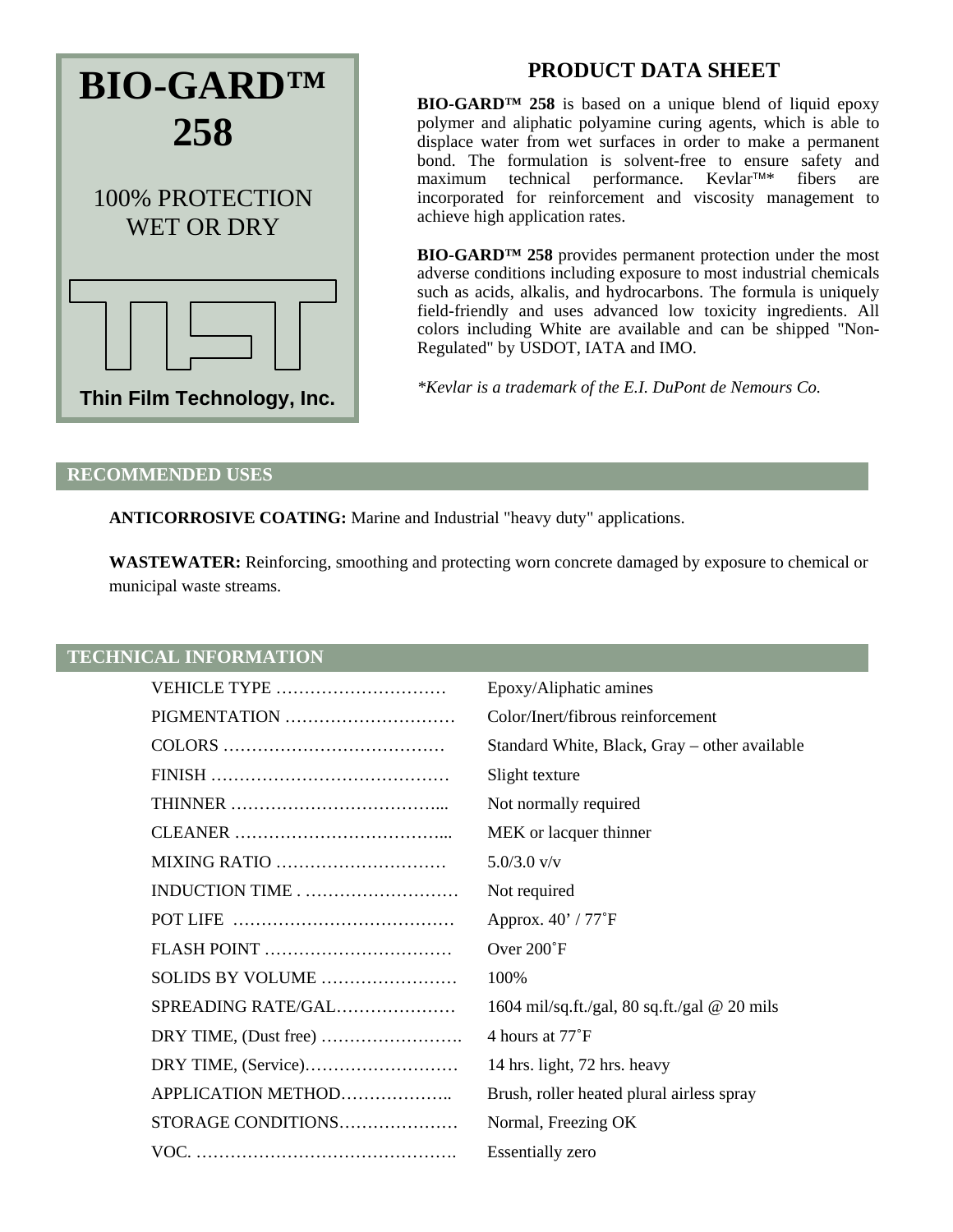

# **PRODUCT DATA SHEET**

**BIO-GARD™ 258** is based on a unique blend of liquid epoxy polymer and aliphatic polyamine curing agents, which is able to displace water from wet surfaces in order to make a permanent bond. The formulation is solvent-free to ensure safety and maximum technical performance. Kevlar<sup>TM\*</sup> fibers are maximum technical performance. Kevlar<sup>™\*</sup> incorporated for reinforcement and viscosity management to achieve high application rates.

**BIO-GARD™ 258** provides permanent protection under the most adverse conditions including exposure to most industrial chemicals such as acids, alkalis, and hydrocarbons. The formula is uniquely field-friendly and uses advanced low toxicity ingredients. All colors including White are available and can be shipped "Non-Regulated" by USDOT, IATA and IMO.

*\*Kevlar is a trademark of the E.I. DuPont de Nemours Co.* 

#### **RECOMMENDED USES**

**ANTICORROSIVE COATING:** Marine and Industrial "heavy duty" applications.

**WASTEWATER:** Reinforcing, smoothing and protecting worn concrete damaged by exposure to chemical or municipal waste streams.

## **TECHNICAL INFORMATION**

| VEHICLE TYPE       | Epoxy/Aliphatic amines                              |
|--------------------|-----------------------------------------------------|
| PIGMENTATION       | Color/Inert/fibrous reinforcement                   |
|                    | Standard White, Black, Gray - other available       |
|                    | Slight texture                                      |
|                    | Not normally required                               |
|                    | MEK or lacquer thinner                              |
| MIXING RATIO       | $5.0/3.0$ v/v                                       |
| INDUCTION TIME     | Not required                                        |
|                    | Approx. 40' / 77°F                                  |
|                    | Over 200°F                                          |
| SOLIDS BY VOLUME   | 100%                                                |
| SPREADING RATE/GAL | 1604 mil/sq.ft./gal, 80 sq.ft./gal $\omega$ 20 mils |
|                    | 4 hours at 77 <sup>°</sup> F                        |
|                    | 14 hrs. light, 72 hrs. heavy                        |
| APPLICATION METHOD | Brush, roller heated plural airless spray           |
| STORAGE CONDITIONS | Normal, Freezing OK                                 |
|                    | <b>Essentially zero</b>                             |